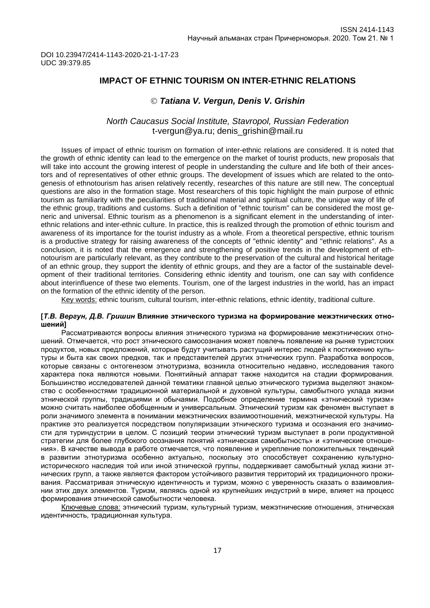## **IMPACT OF ETHNIC TOURISM ON INTER-ETHNIC RELATIONS**

## *Tatiana V. Vergun, Denis V. Grishin*

### *North Caucasus Social Institute, Stavropol, Russian Federation* [t-vergun@ya.ru;](mailto:t-vergun@ya.ru) denis\_grishin@mail.ru

Issues of impact of ethnic tourism on formation of inter-ethnic relations are considered. It is noted that the growth of ethnic identity can lead to the emergence on the market of tourist products, new proposals that will take into account the growing interest of people in understanding the culture and life both of their ancestors and of representatives of other ethnic groups. The development of issues which are related to the ontogenesis of ethnotourism has arisen relatively recently, researches of this nature are still new. The conceptual questions are also in the formation stage. Most researchers of this topic highlight the main purpose of ethnic tourism as familiarity with the peculiarities of traditional material and spiritual culture, the unique way of life of the ethnic group, traditions and customs. Such a definition of "ethnic tourism" can be considered the most generic and universal. Ethnic tourism as a phenomenon is a significant element in the understanding of interethnic relations and inter-ethnic culture. In practice, this is realized through the promotion of ethnic tourism and awareness of its importance for the tourist industry as a whole. From a theoretical perspective, ethnic tourism is a productive strategy for raising awareness of the concepts of "ethnic identity" and "ethnic relations". As a conclusion, it is noted that the emergence and strengthening of positive trends in the development of ethnotourism are particularly relevant, as they contribute to the preservation of the cultural and historical heritage of an ethnic group, they support the identity of ethnic groups, and they are a factor of the sustainable development of their traditional territories. Considering ethnic identity and tourism, one can say with confidence about interinfluence of these two elements. Tourism, one of the largest industries in the world, has an impact on the formation of the ethnic identity of the person.

Key words: ethnic tourism, cultural tourism, inter-ethnic relations, ethnic identity, traditional culture.

#### **[***Т.В. Вергун, Д.В. Гришин* **Влияние этнического туризма на формирование межэтнических отношений]**

Рассматриваются вопросы влияния этнического туризма на формирование межэтнических отношений. Отмечается, что рост этнического самосознания может повлечь появление на рынке туристских продуктов, новых предложений, которые будут учитывать растущий интерес людей к постижению культуры и быта как своих предков, так и представителей других этнических групп. Разработка вопросов, которые связаны с онтогенезом этнотуризма, возникла относительно недавно, исследования такого характера пока являются новыми. Понятийный аппарат также находится на стадии формирования. Большинство исследователей данной тематики главной целью этнического туризма выделяют знакомство с особенностями традиционной материальной и духовной культуры, самобытного уклада жизни этнической группы, традициями и обычаями. Подобное определение термина «этнический туризм» можно считать наиболее обобщенным и универсальным. Этнический туризм как феномен выступает в роли значимого элемента в понимании межэтнических взаимоотношений, межэтнической культуры. На практике это реализуется посредством популяризации этнического туризма и осознания его значимости для туриндустрии в целом. С позиций теории этнический туризм выступает в роли продуктивной стратегии для более глубокого осознания понятий «этническая самобытность» и «этнические отношения». В качестве вывода в работе отмечается, что появление и укрепление положительных тенденций в развитии этнотуризма особенно актуально, поскольку это способствует сохранению культурноисторического наследия той или иной этнической группы, поддерживает самобытный уклад жизни этнических групп, а также является фактором устойчивого развития территорий их традиционного проживания. Рассматривая этническую идентичность и туризм, можно с уверенность сказать о взаимовлиянии этих двух элементов. Туризм, являясь одной из крупнейших индустрий в мире, влияет на процесс формирования этнической самобытности человека.

Ключевые слова: этнический туризм, культурный туризм, межэтнические отношения, этническая идентичность, традиционная культура.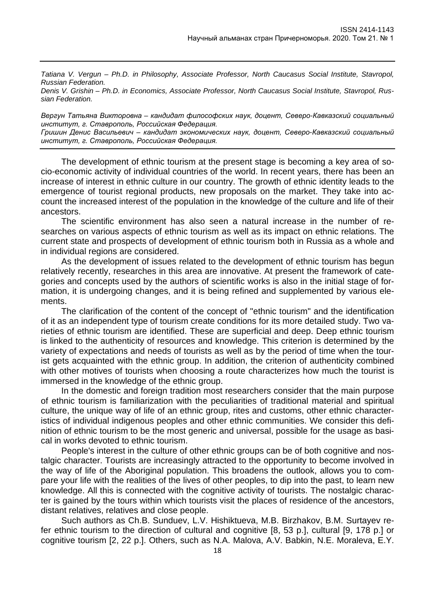*Tatiana V. Vergun – Ph.D. in Philosophy, Associate Professor, North Caucasus Social Institute, Stavropol, Russian Federation.* 

*Denis V. Grishin – Ph.D. in Economics, Associate Professor, North Caucasus Social Institute, Stavropol, Russian Federation.* 

*Вергун Татьяна Викторовна – кандидат философских наук, доцент, Северо-Кавказский социальный институт, г. Ставрополь, Российская Федерация.*

*Гришин Денис Васильевич – кандидат экономических наук, доцент, Северо-Кавказский социальный институт, г. Ставрополь, Российская Федерация.*

The development of ethnic tourism at the present stage is becoming a key area of socio-economic activity of individual countries of the world. In recent years, there has been an increase of interest in ethnic culture in our country. The growth of ethnic identity leads to the emergence of tourist regional products, new proposals on the market. They take into account the increased interest of the population in the knowledge of the culture and life of their ancestors.

The scientific environment has also seen a natural increase in the number of researches on various aspects of ethnic tourism as well as its impact on ethnic relations. The current state and prospects of development of ethnic tourism both in Russia as a whole and in individual regions are considered.

As the development of issues related to the development of ethnic tourism has begun relatively recently, researches in this area are innovative. At present the framework of categories and concepts used by the authors of scientific works is also in the initial stage of formation, it is undergoing changes, and it is being refined and supplemented by various elements.

The clarification of the content of the concept of "ethnic tourism" and the identification of it as an independent type of tourism create conditions for its more detailed study. Two varieties of ethnic tourism are identified. These are superficial and deep. Deep ethnic tourism is linked to the authenticity of resources and knowledge. This criterion is determined by the variety of expectations and needs of tourists as well as by the period of time when the tourist gets acquainted with the ethnic group. In addition, the criterion of authenticity combined with other motives of tourists when choosing a route characterizes how much the tourist is immersed in the knowledge of the ethnic group.

In the domestic and foreign tradition most researchers consider that the main purpose of ethnic tourism is familiarization with the peculiarities of traditional material and spiritual culture, the unique way of life of an ethnic group, rites and customs, other ethnic characteristics of individual indigenous peoples and other ethnic communities. We consider this definition of ethnic tourism to be the most generic and universal, possible for the usage as basical in works devoted to ethnic tourism.

People's interest in the culture of other ethnic groups can be of both cognitive and nostalgic character. Tourists are increasingly attracted to the opportunity to become involved in the way of life of the Aboriginal population. This broadens the outlook, allows you to compare your life with the realities of the lives of other peoples, to dip into the past, to learn new knowledge. All this is connected with the cognitive activity of tourists. The nostalgic character is gained by the tours within which tourists visit the places of residence of the ancestors, distant relatives, relatives and close people.

Such authors as Ch.B. Sunduev, L.V. Hishiktueva, M.B. Birzhakov, B.M. Surtayev refer ethnic tourism to the direction of cultural and cognitive [8, 53 p.], cultural [9, 178 p.] or cognitive tourism [2, 22 p.]. Others, such as N.A. Malova, A.V. Babkin, N.E. Moraleva, E.Y.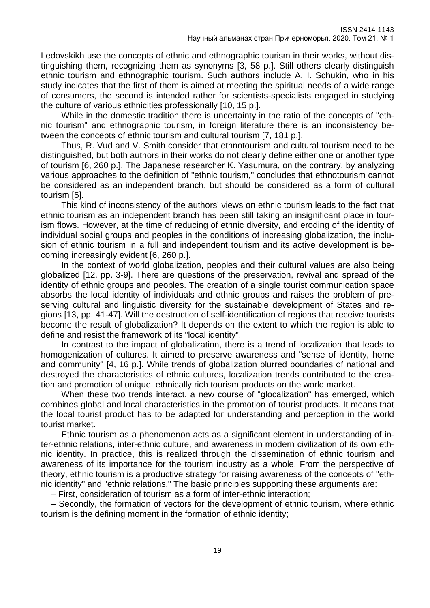Ledovskikh use the concepts of ethnic and ethnographic tourism in their works, without distinguishing them, recognizing them as synonyms [3, 58 p.]. Still others clearly distinguish ethnic tourism and ethnographic tourism. Such authors include A. I. Schukin, who in his study indicates that the first of them is aimed at meeting the spiritual needs of a wide range of consumers, the second is intended rather for scientists-specialists engaged in studying the culture of various ethnicities professionally [10, 15 p.].

While in the domestic tradition there is uncertainty in the ratio of the concepts of "ethnic tourism" and ethnographic tourism, in foreign literature there is an inconsistency between the concepts of ethnic tourism and cultural tourism [7, 181 p.].

Thus, R. Vud and V. Smith consider that ethnotourism and cultural tourism need to be distinguished, but both authors in their works do not clearly define either one or another type of tourism [6, 260 p.]. The Japanese researcher K. Yasumura, on the contrary, by analyzing various approaches to the definition of "ethnic tourism," concludes that ethnotourism cannot be considered as an independent branch, but should be considered as a form of cultural tourism [5].

This kind of inconsistency of the authors' views on ethnic tourism leads to the fact that ethnic tourism as an independent branch has been still taking an insignificant place in tourism flows. However, at the time of reducing of ethnic diversity, and eroding of the identity of individual social groups and peoples in the conditions of increasing globalization, the inclusion of ethnic tourism in a full and independent tourism and its active development is becoming increasingly evident [6, 260 p.].

In the context of world globalization, peoples and their cultural values are also being globalized [12, pp. 3-9]. There are questions of the preservation, revival and spread of the identity of ethnic groups and peoples. The creation of a single tourist communication space absorbs the local identity of individuals and ethnic groups and raises the problem of preserving cultural and linguistic diversity for the sustainable development of States and regions [13, pp. 41-47]. Will the destruction of self-identification of regions that receive tourists become the result of globalization? It depends on the extent to which the region is able to define and resist the framework of its "local identity".

In contrast to the impact of globalization, there is a trend of localization that leads to homogenization of cultures. It aimed to preserve awareness and "sense of identity, home and community" [4, 16 p.]. While trends of globalization blurred boundaries of national and destroyed the characteristics of ethnic cultures, localization trends contributed to the creation and promotion of unique, ethnically rich tourism products on the world market.

When these two trends interact, a new course of "glocalization" has emerged, which combines global and local characteristics in the promotion of tourist products. It means that the local tourist product has to be adapted for understanding and perception in the world tourist market.

Ethnic tourism as a phenomenon acts as a significant element in understanding of inter-ethnic relations, inter-ethnic culture, and awareness in modern civilization of its own ethnic identity. In practice, this is realized through the dissemination of ethnic tourism and awareness of its importance for the tourism industry as a whole. From the perspective of theory, ethnic tourism is a productive strategy for raising awareness of the concepts of "ethnic identity" and "ethnic relations." The basic principles supporting these arguments are:

– First, consideration of tourism as a form of inter-ethnic interaction;

– Secondly, the formation of vectors for the development of ethnic tourism, where ethnic tourism is the defining moment in the formation of ethnic identity;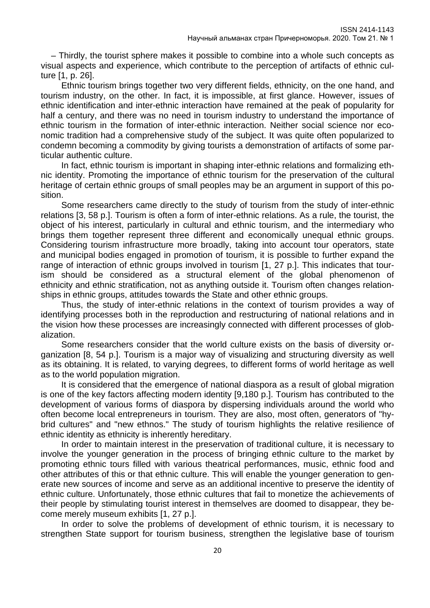– Thirdly, the tourist sphere makes it possible to combine into a whole such concepts as visual aspects and experience, which contribute to the perception of artifacts of ethnic culture [1, p. 26].

Ethnic tourism brings together two very different fields, ethnicity, on the one hand, and tourism industry, on the other. In fact, it is impossible, at first glance. However, issues of ethnic identification and inter-ethnic interaction have remained at the peak of popularity for half a century, and there was no need in tourism industry to understand the importance of ethnic tourism in the formation of inter-ethnic interaction. Neither social science nor economic tradition had a comprehensive study of the subject. It was quite often popularized to condemn becoming a commodity by giving tourists a demonstration of artifacts of some particular authentic culture.

In fact, ethnic tourism is important in shaping inter-ethnic relations and formalizing ethnic identity. Promoting the importance of ethnic tourism for the preservation of the cultural heritage of certain ethnic groups of small peoples may be an argument in support of this position.

Some researchers came directly to the study of tourism from the study of inter-ethnic relations [3, 58 p.]. Tourism is often a form of inter-ethnic relations. As a rule, the tourist, the object of his interest, particularly in cultural and ethnic tourism, and the intermediary who brings them together represent three different and economically unequal ethnic groups. Considering tourism infrastructure more broadly, taking into account tour operators, state and municipal bodies engaged in promotion of tourism, it is possible to further expand the range of interaction of ethnic groups involved in tourism [1, 27 p.]. This indicates that tourism should be considered as a structural element of the global phenomenon of ethnicity and ethnic stratification, not as anything outside it. Tourism often changes relationships in ethnic groups, attitudes towards the State and other ethnic groups.

Thus, the study of inter-ethnic relations in the context of tourism provides a way of identifying processes both in the reproduction and restructuring of national relations and in the vision how these processes are increasingly connected with different processes of globalization.

Some researchers consider that the world culture exists on the basis of diversity organization [8, 54 p.]. Tourism is a major way of visualizing and structuring diversity as well as its obtaining. It is related, to varying degrees, to different forms of world heritage as well as to the world population migration.

It is considered that the emergence of national diaspora as a result of global migration is one of the key factors affecting modern identity [9,180 p.]. Tourism has contributed to the development of various forms of diaspora by dispersing individuals around the world who often become local entrepreneurs in tourism. They are also, most often, generators of "hybrid cultures" and "new ethnos." The study of tourism highlights the relative resilience of ethnic identity as ethnicity is inherently hereditary.

In order to maintain interest in the preservation of traditional culture, it is necessary to involve the younger generation in the process of bringing ethnic culture to the market by promoting ethnic tours filled with various theatrical performances, music, ethnic food and other attributes of this or that ethnic culture. This will enable the younger generation to generate new sources of income and serve as an additional incentive to preserve the identity of ethnic culture. Unfortunately, those ethnic cultures that fail to monetize the achievements of their people by stimulating tourist interest in themselves are doomed to disappear, they become merely museum exhibits [1, 27 p.].

In order to solve the problems of development of ethnic tourism, it is necessary to strengthen State support for tourism business, strengthen the legislative base of tourism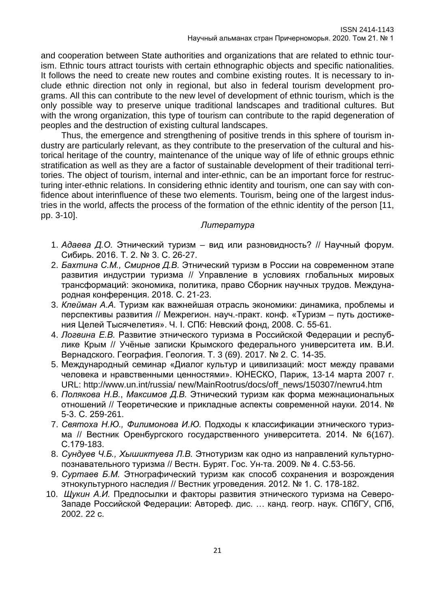and cooperation between State authorities and organizations that are related to ethnic tourism. Ethnic tours attract tourists with certain ethnographic objects and specific nationalities. It follows the need to create new routes and combine existing routes. It is necessary to include ethnic direction not only in regional, but also in federal tourism development programs. All this can contribute to the new level of development of ethnic tourism, which is the only possible way to preserve unique traditional landscapes and traditional cultures. But with the wrong organization, this type of tourism can contribute to the rapid degeneration of peoples and the destruction of existing cultural landscapes.

Thus, the emergence and strengthening of positive trends in this sphere of tourism industry are particularly relevant, as they contribute to the preservation of the cultural and historical heritage of the country, maintenance of the unique way of life of ethnic groups ethnic stratification as well as they are a factor of sustainable development of their traditional territories. The object of tourism, internal and inter-ethnic, can be an important force for restructuring inter-ethnic relations. In considering ethnic identity and tourism, one can say with confidence about interinfluence of these two elements. Tourism, being one of the largest industries in the world, affects the process of the formation of the ethnic identity of the person [11, pp. 3-10].

## *Литература*

- 1. *Адаева Д.О.* Этнический туризм вид или разновидность? // Научный форум. Сибирь. 2016. Т. 2. № 3. С. 26-27.
- 2. *Бахтина С.М., Смирнов Д.В.* Этнический туризм в России на современном этапе развития индустрии туризма // Управление в условиях глобальных мировых трансформаций: экономика, политика, право Сборник научных трудов. Международная конференция. 2018. С. 21-23.
- 3. *Клейман А.А.* Туризм как важнейшая отрасль экономики: динамика, проблемы и перспективы развития // Межрегион. науч.-практ. конф. «Туризм – путь достижения Целей Тысячелетия». Ч. I. СПб: Невский фонд, 2008. С. 55-61.
- 4. *Логвина Е.В.* Развитие этнического туризма в Российской Федерации и республике Крым // Учёные записки Крымского федерального университета им. В.И. Вернадского. География. Геология. Т. 3 (69). 2017. № 2. С. 14-35.
- 5. Международный семинар «Диалог культур и цивилизаций: мост между правами человека и нравственными ценностями». ЮНЕСКО, Париж, 13-14 марта 2007 г. URL: http://www.un.int/russia/ new/MainRootrus/docs/off\_news/150307/newru4.htm
- 6. *Полякова Н.В.*, *Максимов Д.В.* Этнический туризм как форма межнациональных отношений // Теоретические и прикладные аспекты современной науки. 2014. № 5-3. С. 259-261.
- 7. *Святоха Н.Ю., Филимонова И.Ю.* Подходы к классификации этнического туризма // Вестник Оренбургского государственного университета. 2014. № 6(167). С.179-183.
- 8. *Сундуев Ч.Б., Хышиктуева Л.В.* Этнотуризм как одно из направлений культурнопознавательного туризма // Вестн. Бурят. Гос. Ун-та. 2009. № 4. С.53-56.
- 9. *Суртаев Б.М.* Этнографический туризм как способ сохранения и возрождения этнокультурного наследия // Вестник угроведения. 2012. № 1. С. 178-182.
- 10. *Щукин А.И.* Предпосылки и факторы развития этнического туризма на Северо-Западе Российской Федерации: Автореф. дис. … канд. геогр. наук. СПбГУ, СПб, 2002. 22 с.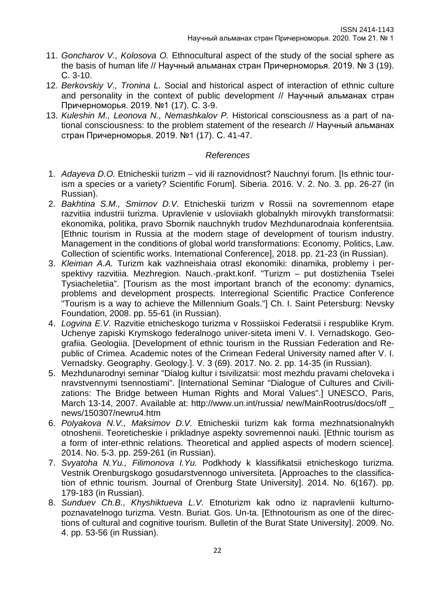- 11. *Goncharov V., Kolosova O.* Ethnocultural aspect of the study of the social sphere as the basis of human life // Научный альманах стран Причерноморья. 2019. № 3 (19). С. 3-10.
- 12. *Berkovskiy V., Tronina L.* Social and historical aspect of interaction of ethnic culture and personality in the context of public development // Научный альманах стран Причерноморья. 2019. №1 (17). С. 3-9.
- 13. *Kuleshin M., Leonova N., Nemashkalov P.* Historical consciousness as a part of national consciousness: to the problem statement of the research // Научный альманах стран Причерноморья. 2019. №1 (17). С. 41-47.

# *References*

- 1. *Adayeva D.O.* Etnicheskii turizm vid ili raznovidnost? Nauchnyi forum. [Is ethnic tourism a species or a variety? Scientific Forum]. Siberia. 2016. V. 2. No. 3. pp. 26-27 (in Russian).
- 2. *Bakhtina S.M., Smirnov D.V.* Etnicheskii turizm v Rossii na sovremennom etape razvitiia industrii turizma. Upravlenie v usloviiakh globalnykh mirovykh transformatsii: ekonomika, politika, pravo Sbornik nauchnykh trudov Mezhdunarodnaia konferentsiia. [Ethnic tourism in Russia at the modern stage of development of tourism industry. Management in the conditions of global world transformations: Economy, Politics, Law. Collection of scientific works. International Conference], 2018. pp. 21-23 (in Russian).
- 3. *Kleiman A.A.* Turizm kak vazhneishaia otrasl ekonomiki: dinamika, problemy i perspektivy razvitiia. Mezhregion. Nauch.-prakt.konf. "Turizm – put dostizheniia Tselei Tysiacheletiia". [Tourism as the most important branch of the economy: dynamics, problems and development prospects. Interregional Scientific Practice Conference "Tourism is a way to achieve the Millennium Goals."] Ch. I. Saint Petersburg: Nevsky Foundation, 2008. pp. 55-61 (in Russian).
- 4. *Logvina E.V.* Razvitie etnicheskogo turizma v Rossiiskoi Federatsii i respublike Krym. Uchenye zapiski Krymskogo federalnogo univer-siteta imeni V. I. Vernadskogo. Geografiia. Geologiia. [Development of ethnic tourism in the Russian Federation and Republic of Crimea. Academic notes of the Crimean Federal University named after V. I. Vernadsky. Geography. Geology.]. V. 3 (69). 2017. No. 2. pp. 14-35 (in Russian).
- 5. Mezhdunarodnyi seminar "Dialog kultur i tsivilizatsii: most mezhdu pravami cheloveka i nravstvennymi tsennostiami". [International Seminar "Dialogue of Cultures and Civilizations: The Bridge between Human Rights and Moral Values".] UNESCO, Paris, March 13-14, 2007. Available at: http://www.un.int/russia/ new/MainRootrus/docs/off \_ news/150307/newru4.htm
- 6. *Polyakova N.V., Maksimov D.V.* Etnicheskii turizm kak forma mezhnatsionalnykh otnoshenii. Teoreticheskie i prikladnye aspekty sovremennoi nauki. [Ethnic tourism as a form of inter-ethnic relations. Theoretical and applied aspects of modern science]. 2014. No. 5-3. pp. 259-261 (in Russian).
- 7. *Svyatoha N.Yu., Filimonova I.Yu.* Podkhody k klassifikatsii etnicheskogo turizma. Vestnik Orenburgskogo gosudarstvennogo universiteta. [Approaches to the classification of ethnic tourism. Journal of Orenburg State University]. 2014. No. 6(167). pp. 179-183 (in Russian).
- 8. *Sunduev Ch.B., Khyshiktueva L.V.* Etnoturizm kak odno iz napravlenii kulturnopoznavatelnogo turizma. Vestn. Buriat. Gos. Un-ta. [Ethnotourism as one of the directions of cultural and cognitive tourism. Bulletin of the Burat State University]. 2009. No. 4. pp. 53-56 (in Russian).